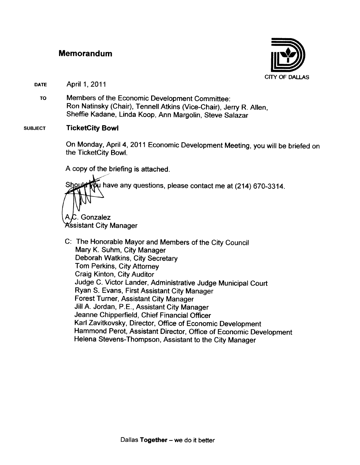#### **Memorandum**



**DATE** April 1, 2011

> Members of the Economic Development Committee: **TO** Ron Natinsky (Chair), Tennell Atkins (Vice-Chair), Jerry R. Allen, Sheffie Kadane, Linda Koop, Ann Margolin, Steve Salazar

#### **SUBJECT TicketCity Bowl**

On Monday, April 4, 2011 Economic Development Meeting, you will be briefed on the TicketCity Bowl.

A copy of the briefing is attached.

.<br>I have any questions, please contact me at (214) 670-3314. **Shouk** Gonzalez Kssistant City Manager

C: The Honorable Mayor and Members of the City Council Mary K. Suhm, City Manager Deborah Watkins, City Secretary Tom Perkins, City Attorney Craig Kinton, City Auditor Judge C. Victor Lander, Administrative Judge Municipal Court Ryan S. Evans, First Assistant City Manager **Forest Turner, Assistant City Manager** Jill A. Jordan, P.E., Assistant City Manager Jeanne Chipperfield, Chief Financial Officer Karl Zavitkovsky, Director, Office of Economic Development Hammond Perot, Assistant Director, Office of Economic Development Helena Stevens-Thompson, Assistant to the City Manager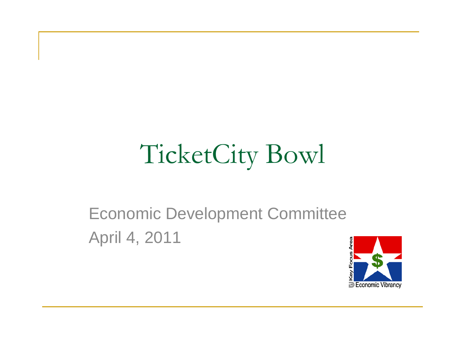# TicketCity Bowl

#### Economic Development Committee April 4, 2011

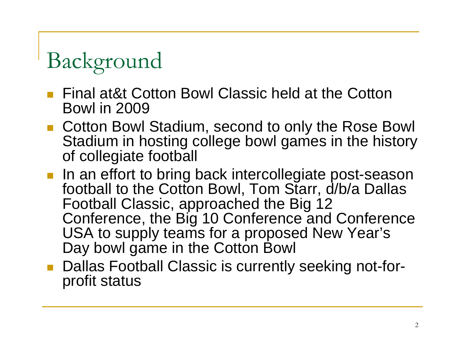# Background

- Final at&t Cotton Bowl Classic held at the Cotton Bowl in 2009
- Cotton Bowl Stadium, second to only the Rose Bowl Stadium in hosting college bowl games in the history of collegiate football
- **If an effort to bring back intercollegiate post-season** football to the Cotton Bowl, Tom Starr, d/b/a Dallas Football Classic, approached the Big 12 Conference, the Big 10 Conference and Conference USA to supply teams for a proposed New Year's Day bowl game in the Cotton Bowl
- Dallas Football Classic is currently seeking not-forprofit status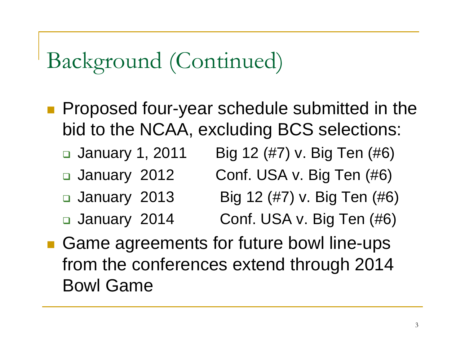- **Proposed four-year schedule submitted in the** bid to the NCAA, excluding BCS selections:
	- January 1, 2011 Big 12 (#7) v. Big Ten (#6)
	- January 2012 Conf. USA v. Big Ten (#6)
	- January 2013 Big 12 (#7) v. Big Ten (#6)
	- January 2014
- Conf. USA v. Big Ten (#6)
- Game agreements for future bowl line-ups from the conferences extend through 2014 Bowl Game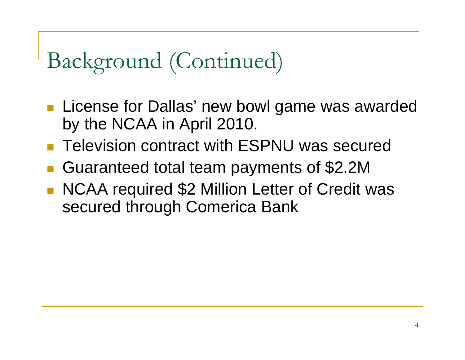- **License for Dallas' new bowl game was awarded** by the NCAA in April 2010.
- Television contract with ESPNU was secured
- $\overline{\phantom{a}}$ Guaranteed total team payments of \$2.2M
- NCAA required \$2 Million Letter of Credit was secured through Comerica Bank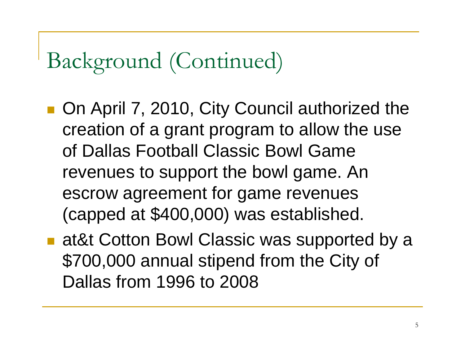- On April 7, 2010, City Council authorized the creation of a grant program to allow the use of Dallas Football Classic Bowl Game revenues to support the bowl game. An escrow agreement for game revenues (capped at \$400,000) was established.
- at&t Cotton Bowl Classic was supported by a \$700,000 annual stipend from the City of Dallas from 1996 to 2008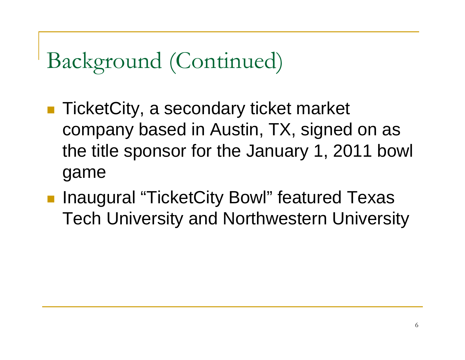- TicketCity, a secondary ticket market company based in Austin, TX, signed on as the title sponsor for the January 1, 2011 bowl game
- Inaugural "TicketCity Bowl" featured Texas Tech University and Northwestern University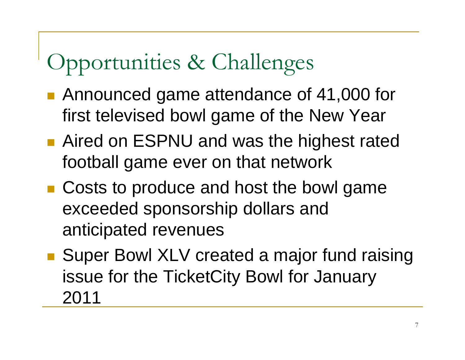## Opportunities & Challenges

- Announced game attendance of 41,000 for first televised bowl game of the New Year
- Aired on ESPNU and was the highest rated football game ever on that network
- Costs to produce and host the bowl game exceeded sponsorship dollars and anticipated revenues
- Super Bowl XLV created a major fund raising issue for the TicketCity Bowl for January 2011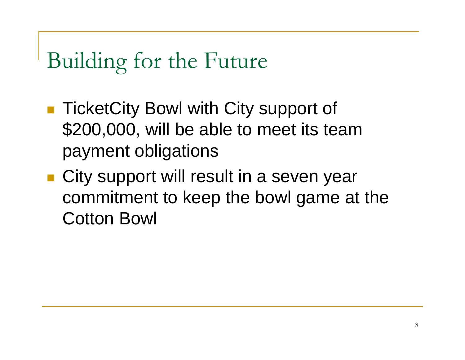#### Building for the Future

- TicketCity Bowl with City support of \$200,000, will be able to meet its team payment obligations
- City support will result in a seven year commitment to keep the bowl game at the Cotton Bowl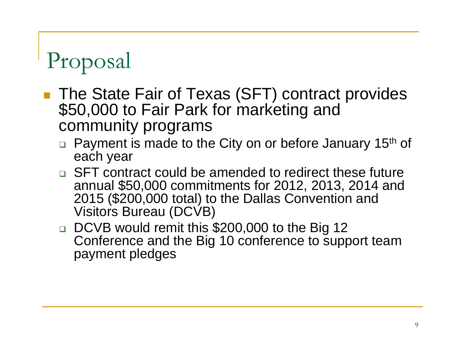## Proposal

- The State Fair of Texas (SFT) contract provides<br>\$50,000 to Fair Park for marketing and community programs
	- $\Box$ Payment is made to the City on or before January 15<sup>th</sup> of each year
	- **EXTE CONTER 20 IN COULD EXT** contract could be amended to redirect these future annual \$50,000 commitments for 2012, 2013, 2014 and 2015 (\$200,000 total) to the Dallas Convention and Visitors Bureau (DCVB)
	- DCVB would remit this \$200,000 to the Big 12 Conference and the Big 10 conference to support team payment pledges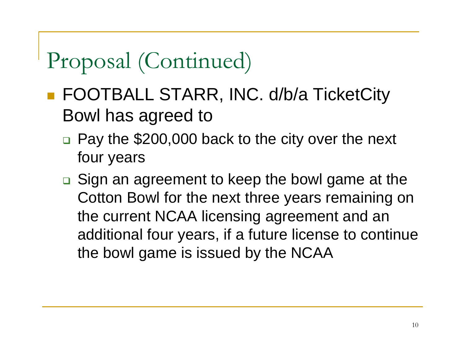## Proposal (Continued)

- FOOTBALL STARR, INC. d/b/a TicketCity Bowl has agreed to
	- □ Pay the \$200,000 back to the city over the next four years
	- **□** Sign an agreement to keep the bowl game at the Cotton Bowl for the next three years remaining on the current NCAA licensing agreement and an additional four years, if a future license to continue the bowl game is issued by the NCAA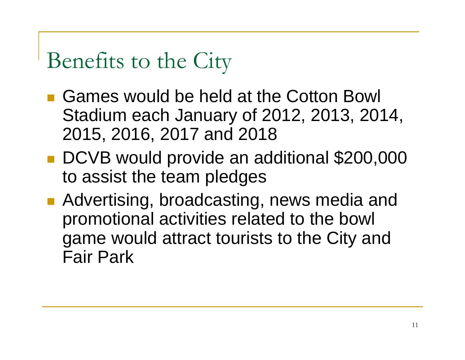#### Benefits to the City

- Games would be held at the Cotton Bowl Stadium each January of 2012, 2013, 2014, 2015, 2016, 2017 and 2018
- DCVB would provide an additional \$200,000 to assist the team pledges
- Advertising, broadcasting, news media and promotional activities related to the bowl game would attract tourists to the City and Fair Park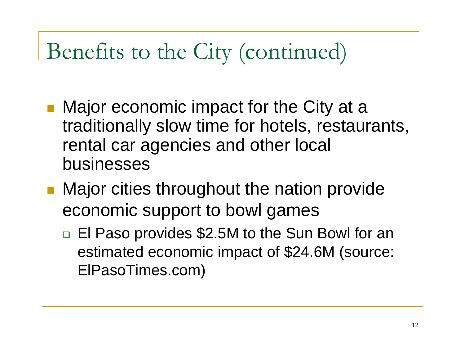#### Benefits to the City (continued)

- Major economic impact for the City at a traditionally slow time for hotels, restaurants, rental car agencies and other local businesses
- **Major cities throughout the nation provide** economic support to bowl games
	- □ El Paso provides \$2.5M to the Sun Bowl for an estimated economic impact of \$24.6M (source: ElPasoTimes.com)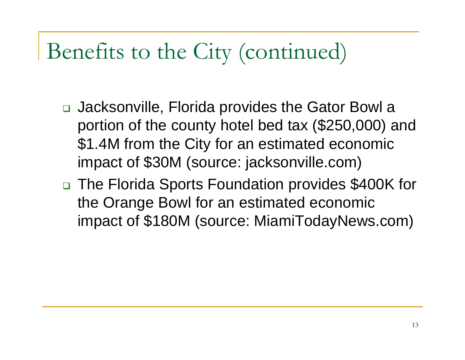#### Benefits to the City (continued)

- □ Jacksonville, Florida provides the Gator Bowl a portion of the county hotel bed tax (\$250,000) and \$1.4M from the City for an estimated economic impact of \$30M (source: jacksonville.com)
- □ The Florida Sports Foundation provides \$400K for the Orange Bowl for an estimated economic impact of \$180M (source: MiamiTodayNews.com)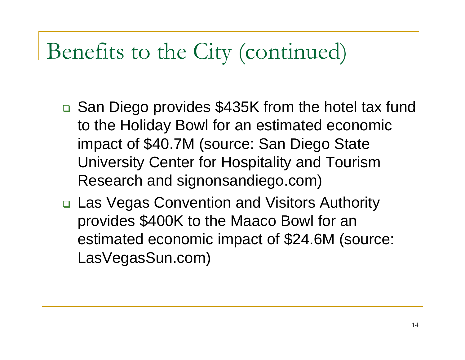#### Benefits to the City (continued)

- □ San Diego provides \$435K from the hotel tax fund to the Holiday Bowl for an estimated economic impact of \$40.7M (source: San Diego State University Center for Hospitality and Tourism Research and signonsandiego.com)
- □ Las Vegas Convention and Visitors Authority provides \$400K to the Maaco Bowl for an estimated economic impact of \$24.6M (source: LasVegasSun.com)